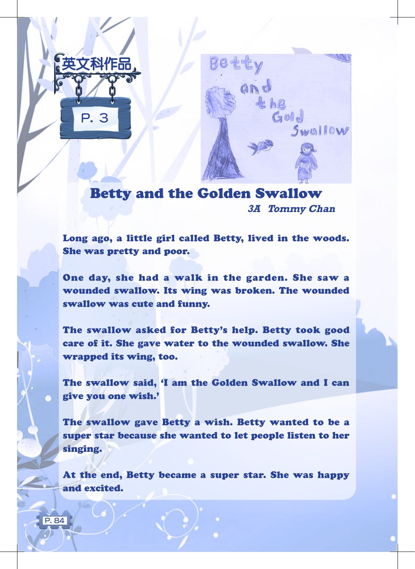

 $\overline{P}$ . 84



Betty and the Golden Swallow **3A Tommy Chan**

Long ago, a little girl called Betty, lived in the woods. She was pretty and poor.

One day, she had a walk in the garden. She saw a wounded swallow. Its wing was broken. The wounded swallow was cute and funny.

The swallow asked for Betty's help. Betty took good care of it. She gave water to the wounded swallow. She wrapped its wing, too.

The swallow said, 'I am the Golden Swallow and I can give you one wish.'

The swallow gave Betty a wish. Betty wanted to be a super star because she wanted to let people listen to her singing.

At the end, Betty became a super star. She was happy and excited.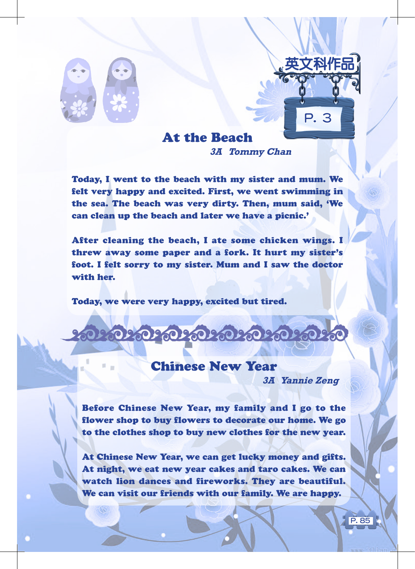

## At the Beach

**3A Tommy Chan**

Today, I went to the beach with my sister and mum. We felt very happy and excited. First, we went swimming in the sea. The beach was very dirty. Then, mum said, 'We can clean up the beach and later we have a picnic.'

After cleaning the beach, I ate some chicken wings. I threw away some paper and a fork. It hurt my sister's foot. I felt sorry to my sister. Mum and I saw the doctor with her.

Today, we were very happy, excited but tired.

## Chinese New Year

020202020202020202

**3A Yannie Zeng**

P. 3

英文科作品

P. 85

Before Chinese New Year, my family and I go to the flower shop to buy flowers to decorate our home. We go to the clothes shop to buy new clothes for the new year.

At Chinese New Year, we can get lucky money and gifts. At night, we eat new year cakes and taro cakes. We can watch lion dances and fireworks. They are beautiful. We can visit our friends with our family. We are happy.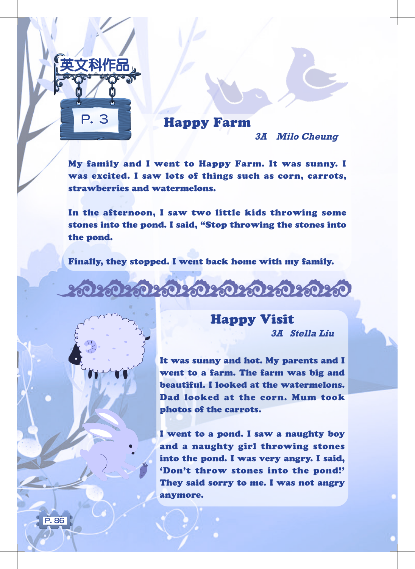

## Happy Farm

**3A Milo Cheung**

My family and I went to Happy Farm. It was sunny. I was excited. I saw lots of things such as corn, carrots, strawberries and watermelons.

In the afternoon, I saw two little kids throwing some stones into the pond. I said, "Stop throwing the stones into the pond.

Finally, they stopped. I went back home with my family.

030303030303030303030



P. 86

Happy Visit

**3A Stella Liu**

It was sunny and hot. My parents and I went to a farm. The farm was big and beautiful. I looked at the watermelons. Dad looked at the corn. Mum took photos of the carrots.

I went to a pond. I saw a naughty boy and a naughty girl throwing stones into the pond. I was very angry. I said, 'Don't throw stones into the pond!' They said sorry to me. I was not angry anymore.